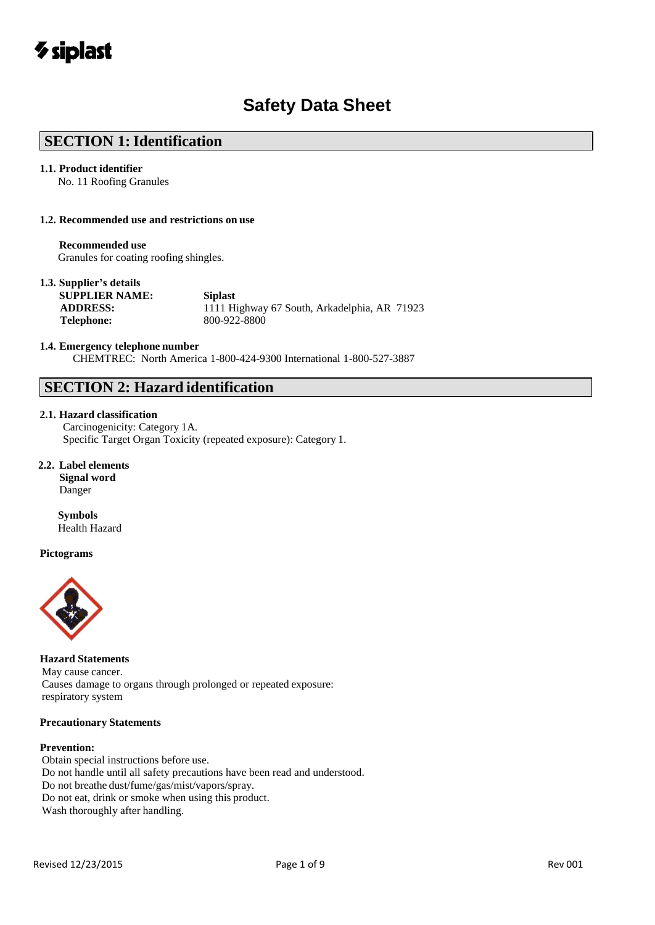## *V* siplast

## **Safety Data Sheet**

## **SECTION 1: Identification**

#### **1.1. Product identifier**

No. 11 Roofing Granules

#### **1.2. Recommended use and restrictions on use**

#### **Recommended use**

Granules for coating roofing shingles.

#### **1.3. Supplier's details**

**SUPPLIER NAME: Siplast Telephone:** 800-922-8800

**ADDRESS:** 1111 Highway 67 South, Arkadelphia, AR 71923

#### **1.4. Emergency telephone number**

CHEMTREC: North America 1-800-424-9300 International 1-800-527-3887

## **SECTION 2: Hazard identification**

#### **2.1. Hazard classification**

Carcinogenicity: Category 1A. Specific Target Organ Toxicity (repeated exposure): Category 1.

#### **2.2. Label elements**

**Signal word**  Danger

**Symbols** Health Hazard

#### **Pictograms**



**Hazard Statements** May cause cancer. Causes damage to organs through prolonged or repeated exposure: respiratory system

#### **Precautionary Statements**

#### **Prevention:**

Obtain special instructions before use. Do not handle until all safety precautions have been read and understood. Do not breathe dust/fume/gas/mist/vapors/spray. Do not eat, drink or smoke when using this product. Wash thoroughly after handling.

Revised 12/23/2015 **Review Accord 22/23/2015** Page 1 of 9 **Review Accord 22/23/2015** Rev 001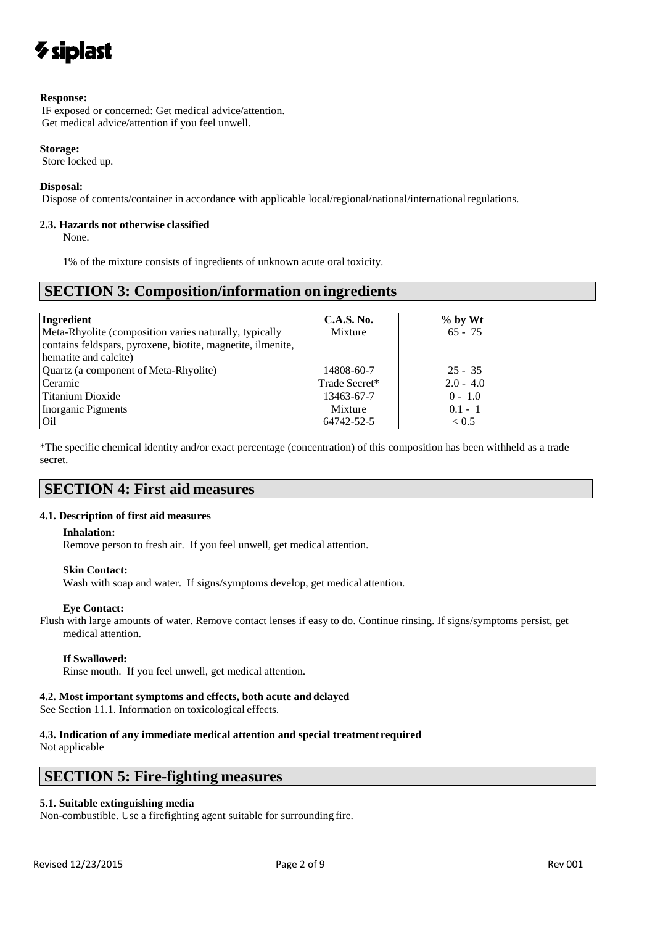## $\gamma$  siplast

#### **Response:**

IF exposed or concerned: Get medical advice/attention. Get medical advice/attention if you feel unwell.

#### **Storage:**

Store locked up.

#### **Disposal:**

Dispose of contents/container in accordance with applicable local/regional/national/international regulations.

#### **2.3. Hazards not otherwise classified**

None.

1% of the mixture consists of ingredients of unknown acute oral toxicity.

## **SECTION 3: Composition/information on ingredients**

| Ingredient                                                  | <b>C.A.S. No.</b> | $%$ by Wt    |
|-------------------------------------------------------------|-------------------|--------------|
| Meta-Rhyolite (composition varies naturally, typically      | Mixture           | $65 - 75$    |
| contains feldspars, pyroxene, biotite, magnetite, ilmenite, |                   |              |
| hematite and calcite)                                       |                   |              |
| Quartz (a component of Meta-Rhyolite)                       | 14808-60-7        | $25 - 35$    |
| Ceramic                                                     | Trade Secret*     | $2.0 - 4.0$  |
| Titanium Dioxide                                            | 13463-67-7        | $0 - 1.0$    |
| Inorganic Pigments                                          | Mixture           | $0.1 - 1$    |
| Oil                                                         | 64742-52-5        | ${}_{< 0.5}$ |

\*The specific chemical identity and/or exact percentage (concentration) of this composition has been withheld as a trade secret.

## **SECTION 4: First aid measures**

#### **4.1. Description of first aid measures**

#### **Inhalation:**

Remove person to fresh air. If you feel unwell, get medical attention.

#### **Skin Contact:**

Wash with soap and water. If signs/symptoms develop, get medical attention.

#### **Eye Contact:**

Flush with large amounts of water. Remove contact lenses if easy to do. Continue rinsing. If signs/symptoms persist, get medical attention.

#### **If Swallowed:**

Rinse mouth. If you feel unwell, get medical attention.

#### **4.2. Most important symptoms and effects, both acute and delayed**

See Section 11.1. Information on toxicological effects.

### **4.3. Indication of any immediate medical attention and special treatment required**

Not applicable

## **SECTION 5: Fire-fighting measures**

## **5.1. Suitable extinguishing media**

Non-combustible. Use a firefighting agent suitable for surrounding fire.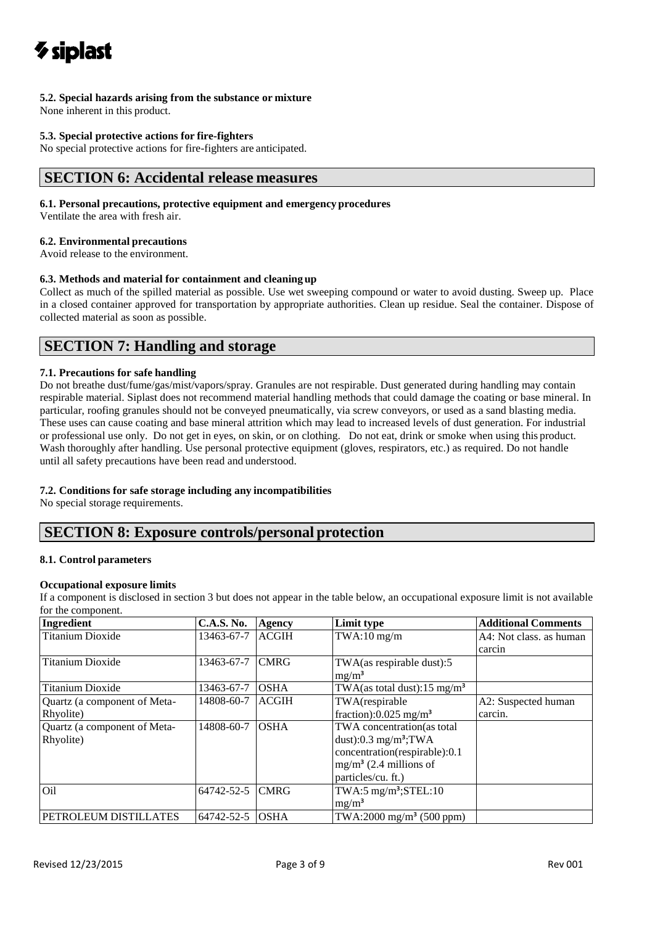## **5.2. Special hazards arising from the substance or mixture**

None inherent in this product.

#### **5.3. Special protective actions for fire-fighters**

No special protective actions for fire-fighters are anticipated.

## **SECTION 6: Accidental release measures**

#### **6.1. Personal precautions, protective equipment and emergency procedures**

Ventilate the area with fresh air.

#### **6.2. Environmental precautions**

Avoid release to the environment.

#### **6.3. Methods and material for containment and cleaning up**

Collect as much of the spilled material as possible. Use wet sweeping compound or water to avoid dusting. Sweep up. Place in a closed container approved for transportation by appropriate authorities. Clean up residue. Seal the container. Dispose of collected material as soon as possible.

## **SECTION 7: Handling and storage**

#### **7.1. Precautions for safe handling**

Do not breathe dust/fume/gas/mist/vapors/spray. Granules are not respirable. Dust generated during handling may contain respirable material. Siplast does not recommend material handling methods that could damage the coating or base mineral. In particular, roofing granules should not be conveyed pneumatically, via screw conveyors, or used as a sand blasting media. These uses can cause coating and base mineral attrition which may lead to increased levels of dust generation. For industrial or professional use only. Do not get in eyes, on skin, or on clothing. Do not eat, drink or smoke when using this product. Wash thoroughly after handling. Use personal protective equipment (gloves, respirators, etc.) as required. Do not handle until all safety precautions have been read and understood.

#### **7.2. Conditions for safe storage including any incompatibilities**

No special storage requirements.

## **SECTION 8: Exposure controls/personal protection**

#### **8.1. Control parameters**

#### **Occupational exposure limits**

If a component is disclosed in section 3 but does not appear in the table below, an occupational exposure limit is not available for the component.

| Ingredient                   | <b>C.A.S. No.</b> | Agency       | Limit type                              | <b>Additional Comments</b> |
|------------------------------|-------------------|--------------|-----------------------------------------|----------------------------|
| <b>Titanium Dioxide</b>      | 13463-67-7        | <b>ACGIH</b> | $TWA:10$ mg/m                           | A4: Not class, as human    |
|                              |                   |              |                                         | carcin                     |
| <b>Titanium Dioxide</b>      | 13463-67-7        | <b>CMRG</b>  | TWA(as respirable dust):5               |                            |
|                              |                   |              | $mg/m^3$                                |                            |
| <b>Titanium Dioxide</b>      | 13463-67-7        | <b>OSHA</b>  | TWA(as total dust):15 mg/m <sup>3</sup> |                            |
| Quartz (a component of Meta- | 14808-60-7        | <b>ACGIH</b> | TWA(respirable                          | A2: Suspected human        |
| Rhyolite)                    |                   |              | fraction): $0.025$ mg/m <sup>3</sup>    | carcin.                    |
| Quartz (a component of Meta- | 14808-60-7        | <b>OSHA</b>  | TWA concentration(as total              |                            |
| Rhyolite)                    |                   |              | dust):0.3 $mg/m^3$ ; TWA                |                            |
|                              |                   |              | concentration(respirable):0.1           |                            |
|                              |                   |              | $mg/m3$ (2.4 millions of                |                            |
|                              |                   |              | particles/cu. ft.)                      |                            |
| Oil                          | 64742-52-5        | <b>CMRG</b>  | TWA:5 $mg/m^3$ ; STEL:10                |                            |
|                              |                   |              | $mg/m^3$                                |                            |
| PETROLEUM DISTILLATES        | 64742-52-5        | <b>OSHA</b>  | TWA:2000 mg/m <sup>3</sup> (500 ppm)    |                            |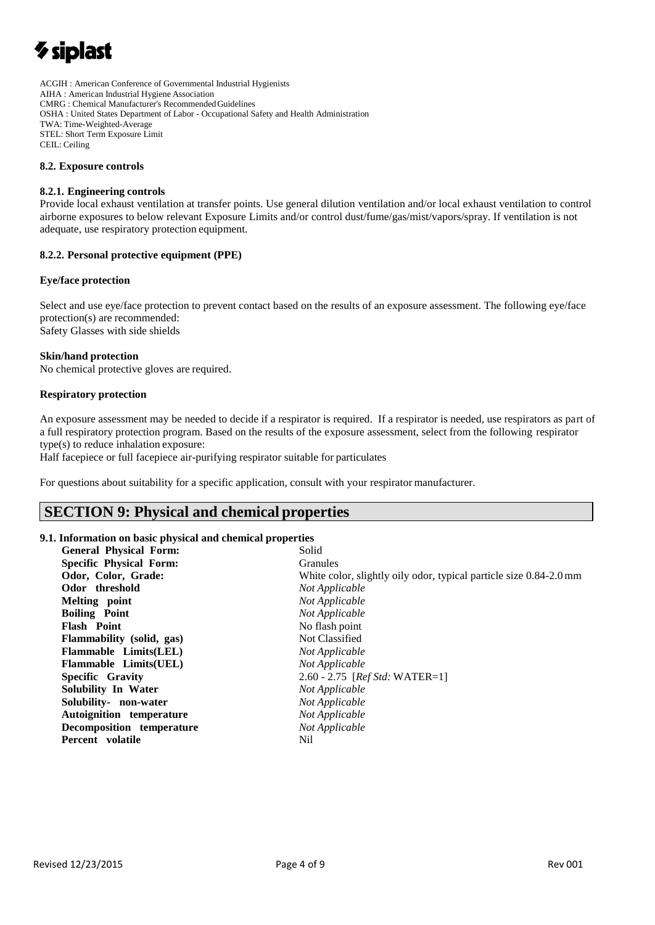# $\boldsymbol{\gamma}$  siplast

ACGIH : American Conference of Governmental Industrial Hygienists AIHA : American Industrial Hygiene Association CMRG : Chemical Manufacturer's RecommendedGuidelines OSHA : United States Department of Labor - Occupational Safety and Health Administration TWA: Time-Weighted-Average STEL: Short Term Exposure Limit CEIL: Ceiling

#### **8.2. Exposure controls**

#### **8.2.1. Engineering controls**

Provide local exhaust ventilation at transfer points. Use general dilution ventilation and/or local exhaust ventilation to control airborne exposures to below relevant Exposure Limits and/or control dust/fume/gas/mist/vapors/spray. If ventilation is not adequate, use respiratory protection equipment.

#### **8.2.2. Personal protective equipment (PPE)**

#### **Eye/face protection**

Select and use eye/face protection to prevent contact based on the results of an exposure assessment. The following eye/face protection(s) are recommended: Safety Glasses with side shields

#### **Skin/hand protection**

No chemical protective gloves are required.

#### **Respiratory protection**

An exposure assessment may be needed to decide if a respirator is required. If a respirator is needed, use respirators as part of a full respiratory protection program. Based on the results of the exposure assessment, select from the following respirator type(s) to reduce inhalation exposure:

Half facepiece or full facepiece air-purifying respirator suitable for particulates

For questions about suitability for a specific application, consult with your respirator manufacturer.

## **SECTION 9: Physical and chemical properties**

#### **9.1. Information on basic physical and chemical properties**

| <b>General Physical Form:</b>  | Solid                                                              |
|--------------------------------|--------------------------------------------------------------------|
| <b>Specific Physical Form:</b> | <b>Granules</b>                                                    |
| Odor, Color, Grade:            | White color, slightly oily odor, typical particle size 0.84-2.0 mm |
| Odor threshold                 | Not Applicable                                                     |
| Melting point                  | Not Applicable                                                     |
| <b>Boiling</b> Point           | Not Applicable                                                     |
| Flash Point                    | No flash point                                                     |
| Flammability (solid, gas)      | Not Classified                                                     |
| Flammable Limits(LEL)          | Not Applicable                                                     |
| <b>Flammable Limits(UEL)</b>   | Not Applicable                                                     |
| Specific Gravity               | 2.60 - 2.75 [ <i>Ref Std:</i> WATER=1]                             |
| Solubility In Water            | Not Applicable                                                     |
| Solubility- non-water          | Not Applicable                                                     |
| Autoignition temperature       | Not Applicable                                                     |
| Decomposition temperature      | Not Applicable                                                     |
| Percent volatile               | Nil                                                                |
|                                |                                                                    |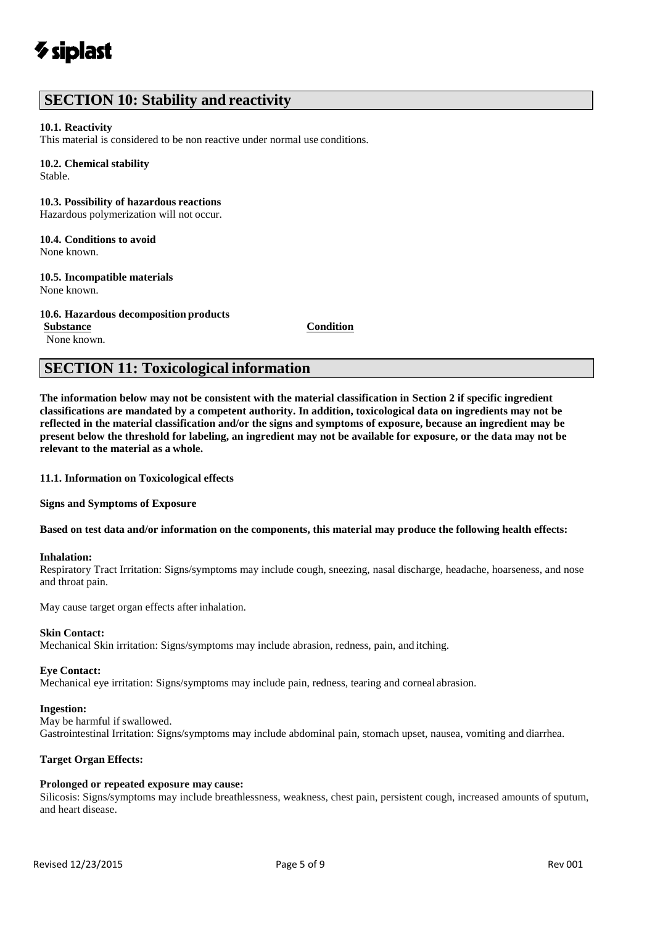## **SECTION 10: Stability and reactivity**

#### **10.1. Reactivity**

This material is considered to be non reactive under normal use conditions.

#### **10.2. Chemical stability**

Stable.

#### **10.3. Possibility of hazardous reactions**

Hazardous polymerization will not occur.

## **10.4. Conditions to avoid**

None known.

#### **10.5. Incompatible materials**

None known.

#### **10.6. Hazardous decomposition products**

**Substance Condition** None known.

## **SECTION 11: Toxicological information**

**The information below may not be consistent with the material classification in Section 2 if specific ingredient classifications are mandated by a competent authority. In addition, toxicological data on ingredients may not be reflected in the material classification and/or the signs and symptoms of exposure, because an ingredient may be present below the threshold for labeling, an ingredient may not be available for exposure, or the data may not be relevant to the material as a whole.**

**11.1. Information on Toxicological effects** 

**Signs and Symptoms of Exposure**

#### Based on test data and/or information on the components, this material may produce the following health effects:

#### **Inhalation:**

Respiratory Tract Irritation: Signs/symptoms may include cough, sneezing, nasal discharge, headache, hoarseness, and nose and throat pain.

May cause target organ effects after inhalation.

#### **Skin Contact:**

Mechanical Skin irritation: Signs/symptoms may include abrasion, redness, pain, and itching.

#### **Eye Contact:**

Mechanical eye irritation: Signs/symptoms may include pain, redness, tearing and corneal abrasion.

#### **Ingestion:**

May be harmful if swallowed. Gastrointestinal Irritation: Signs/symptoms may include abdominal pain, stomach upset, nausea, vomiting and diarrhea.

#### **Target Organ Effects:**

#### **Prolonged or repeated exposure may cause:**

Silicosis: Signs/symptoms may include breathlessness, weakness, chest pain, persistent cough, increased amounts of sputum, and heart disease.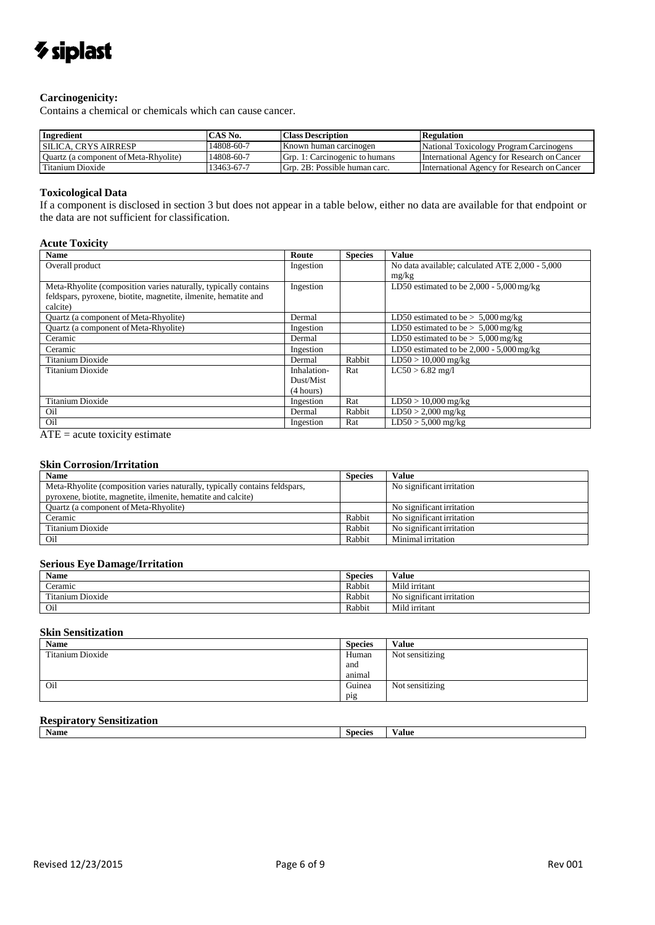## *V* siplast

#### **Carcinogenicity:**

Contains a chemical or chemicals which can cause cancer.

| Ingredient                            | CAS No.    | <b>Class Description</b>       | <b>Regulation</b>                           |
|---------------------------------------|------------|--------------------------------|---------------------------------------------|
| <b>SILICA. CRYS AIRRESP</b>           | 14808-60-7 | Known human carcinogen         | National Toxicology Program Carcinogens     |
| Quartz (a component of Meta-Rhyolite) | 14808-60-7 | Grp. 1: Carcinogenic to humans | International Agency for Research on Cancer |
| Titanium Dioxide                      | 13463-67-7 | Grp. 2B: Possible human carc.  | International Agency for Research on Cancer |

#### **Toxicological Data**

If a component is disclosed in section 3 but does not appear in a table below, either no data are available for that endpoint or the data are not sufficient for classification.

#### **Acute Toxicity**

| <b>Name</b>                                                     | Route       | <b>Species</b> | <b>Value</b>                                    |
|-----------------------------------------------------------------|-------------|----------------|-------------------------------------------------|
| Overall product                                                 | Ingestion   |                | No data available; calculated ATE 2,000 - 5,000 |
|                                                                 |             |                | mg/kg                                           |
| Meta-Rhyolite (composition varies naturally, typically contains | Ingestion   |                | LD50 estimated to be $2,000 - 5,000$ mg/kg      |
| feldspars, pyroxene, biotite, magnetite, ilmenite, hematite and |             |                |                                                 |
| calcite)                                                        |             |                |                                                 |
| Quartz (a component of Meta-Rhyolite)                           | Dermal      |                | LD50 estimated to be $> 5,000$ mg/kg            |
| Quartz (a component of Meta-Rhyolite)                           | Ingestion   |                | LD50 estimated to be $> 5,000$ mg/kg            |
| Ceramic                                                         | Dermal      |                | LD50 estimated to be $> 5,000$ mg/kg            |
| Ceramic                                                         | Ingestion   |                | LD50 estimated to be $2,000 - 5,000$ mg/kg      |
| <b>Titanium Dioxide</b>                                         | Dermal      | Rabbit         | $LD50 > 10,000$ mg/kg                           |
| <b>Titanium Dioxide</b>                                         | Inhalation- | Rat            | $LC50 > 6.82$ mg/l                              |
|                                                                 | Dust/Mist   |                |                                                 |
|                                                                 | (4 hours)   |                |                                                 |
| <b>Titanium Dioxide</b>                                         | Ingestion   | Rat            | $LD50 > 10,000$ mg/kg                           |
| Oil                                                             | Dermal      | Rabbit         | $LD50 > 2,000$ mg/kg                            |
| Oil                                                             | Ingestion   | Rat            | $LD50 > 5,000$ mg/kg                            |

 $\overline{ATE}$  = acute toxicity estimate

### **Skin Corrosion/Irritation**

| <b>Name</b>                                                                | <b>Species</b> | Value                     |
|----------------------------------------------------------------------------|----------------|---------------------------|
| Meta-Rhyolite (composition varies naturally, typically contains feldspars, |                | No significant irritation |
| pyroxene, biotite, magnetite, ilmenite, hematite and calcite)              |                |                           |
| Quartz (a component of Meta-Rhyolite)                                      |                | No significant irritation |
| Ceramic                                                                    | Rabbit         | No significant irritation |
| Titanium Dioxide                                                           | Rabbit         | No significant irritation |
| Oil                                                                        | Rabbit         | Minimal irritation        |

#### **Serious Eye Damage/Irritation**

| <b>Name</b>      | <b>Species</b> | Value                     |
|------------------|----------------|---------------------------|
| Ceramic          | Rabbit         | Mild irritant             |
| Titanium Dioxide | Rabbit         | No significant irritation |
| Oil              | Rabbit         | Mild irritant             |

#### **Skin Sensitization**

| <b>Name</b>      | <b>Species</b> | <b>Value</b>    |
|------------------|----------------|-----------------|
| Titanium Dioxide | Human          | Not sensitizing |
|                  | and            |                 |
|                  | animal         |                 |
| Oil              | Guinea         | Not sensitizing |
|                  | pig            |                 |

## **Respiratory Sensitization**

| ------- | ------------ |         |       |
|---------|--------------|---------|-------|
|         | <b>Name</b>  | Species | 'alue |
|         |              |         |       |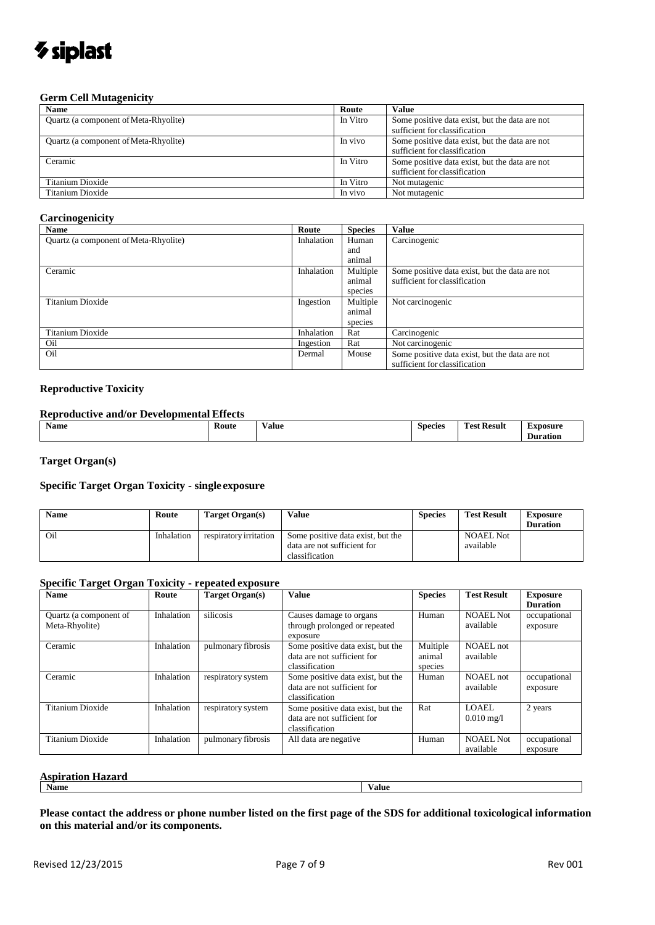# *V* siplast

#### **Germ Cell Mutagenicity**

| <b>Name</b>                           | Route    | Value                                                                           |
|---------------------------------------|----------|---------------------------------------------------------------------------------|
| Quartz (a component of Meta-Rhyolite) | In Vitro | Some positive data exist, but the data are not<br>sufficient for classification |
| Quartz (a component of Meta-Rhyolite) | In vivo  | Some positive data exist, but the data are not<br>sufficient for classification |
| Ceramic                               | In Vitro | Some positive data exist, but the data are not<br>sufficient for classification |
| Titanium Dioxide                      | In Vitro | Not mutagenic                                                                   |
| Titanium Dioxide                      | In vivo  | Not mutagenic                                                                   |

#### **Carcinogenicity**

| <b>Name</b>                           | Route      | <b>Species</b> | <b>Value</b>                                   |
|---------------------------------------|------------|----------------|------------------------------------------------|
| Quartz (a component of Meta-Rhyolite) | Inhalation | Human          | Carcinogenic                                   |
|                                       |            | and            |                                                |
|                                       |            | animal         |                                                |
| Ceramic                               | Inhalation | Multiple       | Some positive data exist, but the data are not |
|                                       |            | animal         | sufficient for classification                  |
|                                       |            | species        |                                                |
| Titanium Dioxide                      | Ingestion  | Multiple       | Not carcinogenic                               |
|                                       |            | animal         |                                                |
|                                       |            | species        |                                                |
| Titanium Dioxide                      | Inhalation | Rat            | Carcinogenic                                   |
| Oil                                   | Ingestion  | Rat            | Not carcinogenic                               |
| Oil                                   | Dermal     | Mouse          | Some positive data exist, but the data are not |
|                                       |            |                | sufficient for classification                  |

#### **Reproductive Toxicity**

#### **Reproductive and/or Developmental Effects**

| <b>Name</b><br>Route<br>. |  | Value<br>. | $\sim$<br><b>Species</b><br>. | <b>1999</b><br>$\sim$<br>Result<br>'est<br>. | .oosure<br>–<br>Duration |
|---------------------------|--|------------|-------------------------------|----------------------------------------------|--------------------------|
|---------------------------|--|------------|-------------------------------|----------------------------------------------|--------------------------|

**Target Organ(s)**

#### **Specific Target Organ Toxicity - single exposure**

| <b>Name</b> | Route      | Target Organ(s)        | Value                             | <b>Species</b> | <b>Test Result</b> | Exposure<br><b>Duration</b> |
|-------------|------------|------------------------|-----------------------------------|----------------|--------------------|-----------------------------|
| Oil         | Inhalation | respiratory irritation | Some positive data exist, but the |                | <b>NOAEL Not</b>   |                             |
|             |            |                        | data are not sufficient for       |                | available          |                             |
|             |            |                        | classification                    |                |                    |                             |

#### **Specific Target Organ Toxicity - repeated exposure**

| <b>Name</b>             | Route      | Target Organ(s)    | <b>Value</b>                      | <b>Species</b> | <b>Test Result</b>      | <b>Exposure</b> |
|-------------------------|------------|--------------------|-----------------------------------|----------------|-------------------------|-----------------|
|                         |            |                    |                                   |                |                         | <b>Duration</b> |
| Quartz (a component of  | Inhalation | silicosis          | Causes damage to organs           | Human          | <b>NOAEL Not</b>        | occupational    |
| Meta-Rhyolite)          |            |                    | through prolonged or repeated     |                | available               | exposure        |
|                         |            |                    | exposure                          |                |                         |                 |
| Ceramic                 | Inhalation | pulmonary fibrosis | Some positive data exist, but the | Multiple       | NOAEL not               |                 |
|                         |            |                    | data are not sufficient for       | animal         | available               |                 |
|                         |            |                    | classification                    | species        |                         |                 |
| Ceramic                 | Inhalation | respiratory system | Some positive data exist, but the | Human          | NOAEL not               | occupational    |
|                         |            |                    | data are not sufficient for       |                | available               | exposure        |
|                         |            |                    | classification                    |                |                         |                 |
| <b>Titanium Dioxide</b> | Inhalation | respiratory system | Some positive data exist, but the | Rat            | LOAEL.                  | 2 years         |
|                         |            |                    | data are not sufficient for       |                | $0.010 \,\mathrm{mg}/l$ |                 |
|                         |            |                    | classification                    |                |                         |                 |
| <b>Titanium Dioxide</b> | Inhalation | pulmonary fibrosis | All data are negative             | Human          | <b>NOAEL Not</b>        | occupational    |
|                         |            |                    |                                   |                | available               | exposure        |

#### **Aspiration Hazard**

**Name Value**

Please contact the address or phone number listed on the first page of the SDS for additional toxicological information **on this material and/or its components.**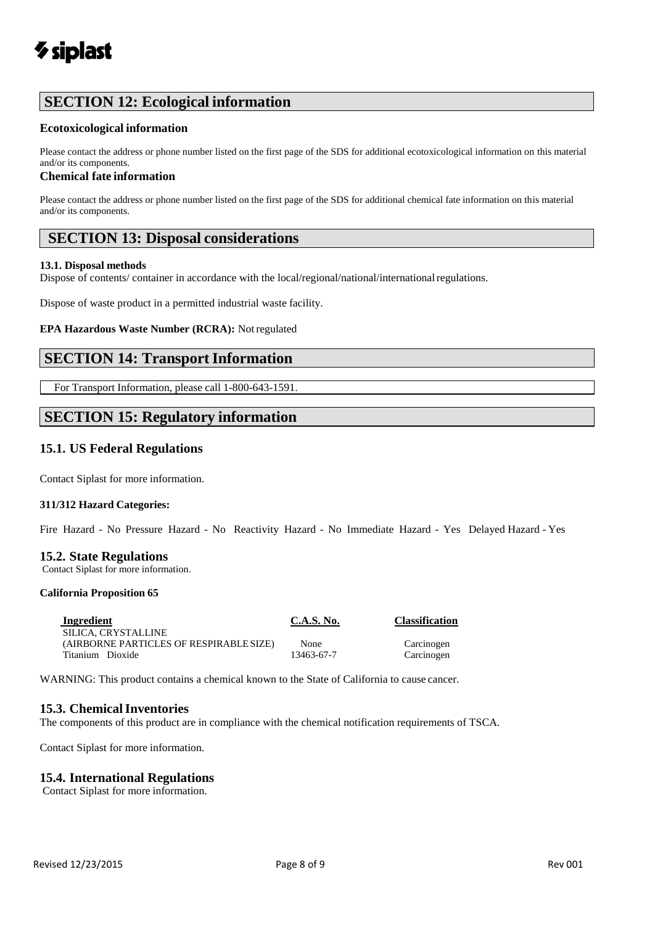## **SECTION 12: Ecological information**

#### **Ecotoxicological information**

Please contact the address or phone number listed on the first page of the SDS for additional ecotoxicological information on this material and/or its components.

#### **Chemical fate information**

Please contact the address or phone number listed on the first page of the SDS for additional chemical fate information on this material and/or its components.

## **SECTION 13: Disposal considerations**

#### **13.1. Disposal methods**

Dispose of contents/ container in accordance with the local/regional/national/international regulations.

Dispose of waste product in a permitted industrial waste facility.

#### **EPA Hazardous Waste Number (RCRA):** Notregulated

## **SECTION 14: Transport Information**

For Transport Information, please call 1-800-643-1591.

## **SECTION 15: Regulatory information**

### **15.1. US Federal Regulations**

Contact Siplast for more information.

#### **311/312 Hazard Categories:**

Fire Hazard - No Pressure Hazard - No Reactivity Hazard - No Immediate Hazard - Yes Delayed Hazard - Yes

#### **15.2. State Regulations**

Contact Siplast for more information.

#### **California Proposition 65**

| Ingredient                              | C.A.S. No. | <b>Classification</b> |
|-----------------------------------------|------------|-----------------------|
| SILICA. CRYSTALLINE                     |            |                       |
| (AIRBORNE PARTICLES OF RESPIRABLE SIZE) | None       | Carcinogen            |
| Titanium Dioxide                        | 13463-67-7 | Carcinogen            |

WARNING: This product contains a chemical known to the State of California to cause cancer.

#### **15.3. ChemicalInventories**

The components of this product are in compliance with the chemical notification requirements of TSCA.

Contact Siplast for more information.

### **15.4. International Regulations**

Contact Siplast for more information.